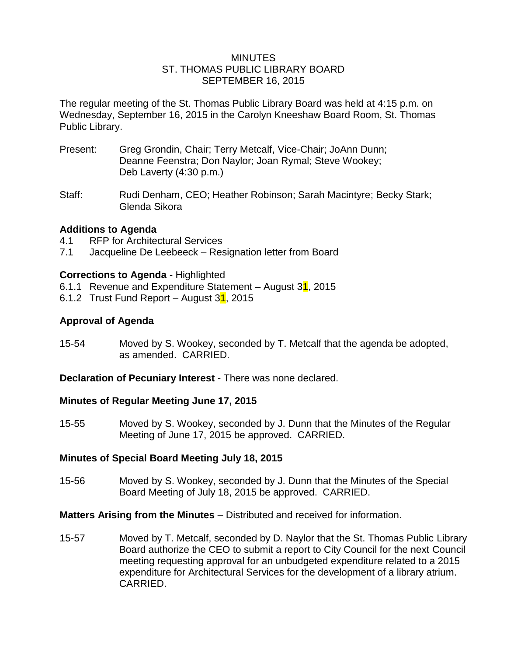#### MINUTES ST. THOMAS PUBLIC LIBRARY BOARD SEPTEMBER 16, 2015

The regular meeting of the St. Thomas Public Library Board was held at 4:15 p.m. on Wednesday, September 16, 2015 in the Carolyn Kneeshaw Board Room, St. Thomas Public Library.

- Present: Greg Grondin, Chair; Terry Metcalf, Vice-Chair; JoAnn Dunn; Deanne Feenstra; Don Naylor; Joan Rymal; Steve Wookey; Deb Laverty (4:30 p.m.)
- Staff: Rudi Denham, CEO; Heather Robinson; Sarah Macintyre; Becky Stark; Glenda Sikora

# **Additions to Agenda**

- 4.1 RFP for Architectural Services
- 7.1 Jacqueline De Leebeeck Resignation letter from Board

# **Corrections to Agenda** - Highlighted

- 6.1.1 Revenue and Expenditure Statement August  $31$ , 2015
- 6.1.2 Trust Fund Report August  $31$ , 2015

# **Approval of Agenda**

15-54 Moved by S. Wookey, seconded by T. Metcalf that the agenda be adopted, as amended. CARRIED.

### **Declaration of Pecuniary Interest - There was none declared.**

### **Minutes of Regular Meeting June 17, 2015**

15-55 Moved by S. Wookey, seconded by J. Dunn that the Minutes of the Regular Meeting of June 17, 2015 be approved. CARRIED.

### **Minutes of Special Board Meeting July 18, 2015**

15-56 Moved by S. Wookey, seconded by J. Dunn that the Minutes of the Special Board Meeting of July 18, 2015 be approved. CARRIED.

### **Matters Arising from the Minutes** – Distributed and received for information.

15-57 Moved by T. Metcalf, seconded by D. Naylor that the St. Thomas Public Library Board authorize the CEO to submit a report to City Council for the next Council meeting requesting approval for an unbudgeted expenditure related to a 2015 expenditure for Architectural Services for the development of a library atrium. CARRIED.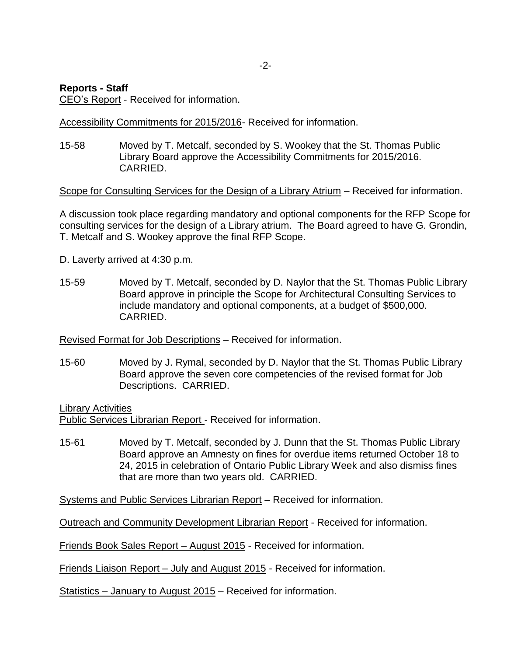## **Reports - Staff**

CEO's Report - Received for information.

Accessibility Commitments for 2015/2016- Received for information.

15-58 Moved by T. Metcalf, seconded by S. Wookey that the St. Thomas Public Library Board approve the Accessibility Commitments for 2015/2016. CARRIED.

Scope for Consulting Services for the Design of a Library Atrium – Received for information.

A discussion took place regarding mandatory and optional components for the RFP Scope for consulting services for the design of a Library atrium. The Board agreed to have G. Grondin, T. Metcalf and S. Wookey approve the final RFP Scope.

D. Laverty arrived at 4:30 p.m.

15-59 Moved by T. Metcalf, seconded by D. Naylor that the St. Thomas Public Library Board approve in principle the Scope for Architectural Consulting Services to include mandatory and optional components, at a budget of \$500,000. CARRIED.

Revised Format for Job Descriptions – Received for information.

15-60 Moved by J. Rymal, seconded by D. Naylor that the St. Thomas Public Library Board approve the seven core competencies of the revised format for Job Descriptions. CARRIED.

Library Activities Public Services Librarian Report - Received for information.

15-61 Moved by T. Metcalf, seconded by J. Dunn that the St. Thomas Public Library Board approve an Amnesty on fines for overdue items returned October 18 to 24, 2015 in celebration of Ontario Public Library Week and also dismiss fines that are more than two years old. CARRIED.

Systems and Public Services Librarian Report – Received for information.

Outreach and Community Development Librarian Report - Received for information.

Friends Book Sales Report – August 2015 - Received for information.

Friends Liaison Report – July and August 2015 - Received for information.

Statistics – January to August 2015 – Received for information.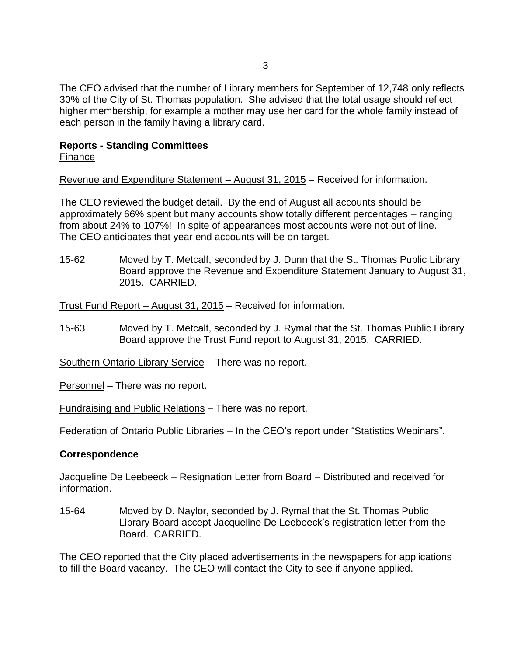The CEO advised that the number of Library members for September of 12,748 only reflects 30% of the City of St. Thomas population. She advised that the total usage should reflect higher membership, for example a mother may use her card for the whole family instead of each person in the family having a library card.

### **Reports - Standing Committees** Finance

Revenue and Expenditure Statement – August 31, 2015 – Received for information.

The CEO reviewed the budget detail. By the end of August all accounts should be approximately 66% spent but many accounts show totally different percentages – ranging from about 24% to 107%! In spite of appearances most accounts were not out of line. The CEO anticipates that year end accounts will be on target.

15-62 Moved by T. Metcalf, seconded by J. Dunn that the St. Thomas Public Library Board approve the Revenue and Expenditure Statement January to August 31, 2015. CARRIED.

Trust Fund Report – August 31, 2015 – Received for information.

15-63 Moved by T. Metcalf, seconded by J. Rymal that the St. Thomas Public Library Board approve the Trust Fund report to August 31, 2015. CARRIED.

Southern Ontario Library Service – There was no report.

Personnel – There was no report.

Fundraising and Public Relations – There was no report.

Federation of Ontario Public Libraries – In the CEO's report under "Statistics Webinars".

### **Correspondence**

Jacqueline De Leebeeck – Resignation Letter from Board – Distributed and received for information.

15-64 Moved by D. Naylor, seconded by J. Rymal that the St. Thomas Public Library Board accept Jacqueline De Leebeeck's registration letter from the Board. CARRIED.

The CEO reported that the City placed advertisements in the newspapers for applications to fill the Board vacancy. The CEO will contact the City to see if anyone applied.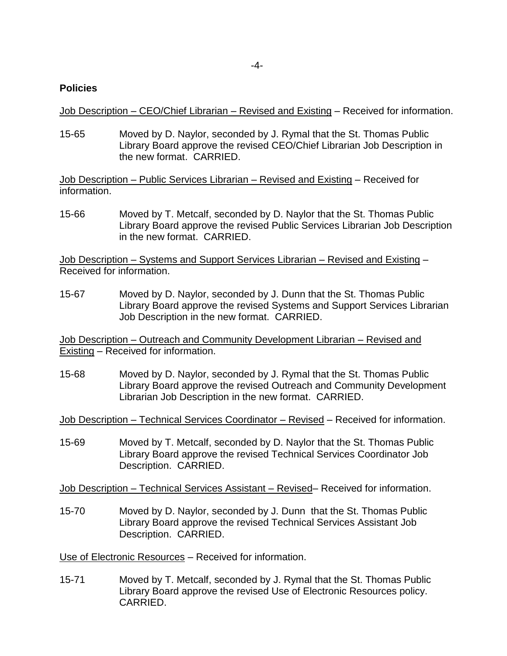#### **Policies**

Job Description – CEO/Chief Librarian – Revised and Existing – Received for information.

15-65 Moved by D. Naylor, seconded by J. Rymal that the St. Thomas Public Library Board approve the revised CEO/Chief Librarian Job Description in the new format. CARRIED.

Job Description – Public Services Librarian – Revised and Existing – Received for information.

15-66 Moved by T. Metcalf, seconded by D. Naylor that the St. Thomas Public Library Board approve the revised Public Services Librarian Job Description in the new format. CARRIED.

Job Description – Systems and Support Services Librarian – Revised and Existing – Received for information.

15-67 Moved by D. Naylor, seconded by J. Dunn that the St. Thomas Public Library Board approve the revised Systems and Support Services Librarian Job Description in the new format. CARRIED.

Job Description – Outreach and Community Development Librarian – Revised and Existing – Received for information.

15-68 Moved by D. Naylor, seconded by J. Rymal that the St. Thomas Public Library Board approve the revised Outreach and Community Development Librarian Job Description in the new format. CARRIED.

Job Description – Technical Services Coordinator – Revised – Received for information.

15-69 Moved by T. Metcalf, seconded by D. Naylor that the St. Thomas Public Library Board approve the revised Technical Services Coordinator Job Description. CARRIED.

Job Description – Technical Services Assistant – Revised– Received for information.

15-70 Moved by D. Naylor, seconded by J. Dunn that the St. Thomas Public Library Board approve the revised Technical Services Assistant Job Description. CARRIED.

Use of Electronic Resources – Received for information.

15-71 Moved by T. Metcalf, seconded by J. Rymal that the St. Thomas Public Library Board approve the revised Use of Electronic Resources policy. CARRIED.